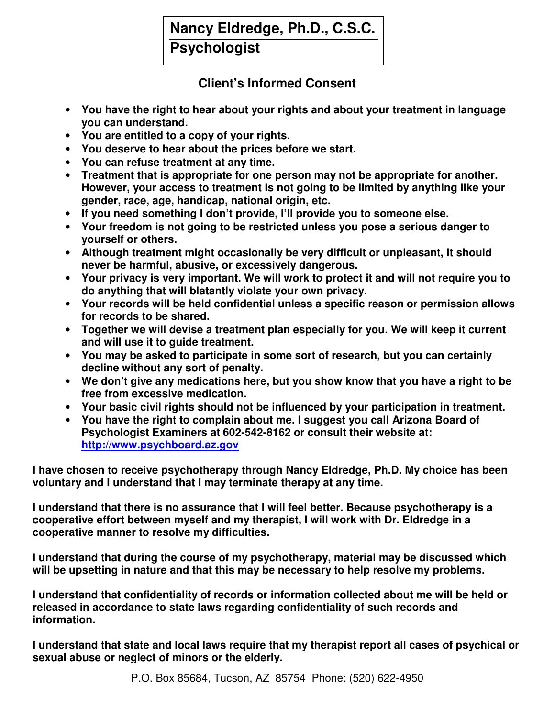## **Nancy Eldredge, Ph.D., C.S.C.**

**Psychologist**

## **Client's Informed Consent**

- **You have the right to hear about your rights and about your treatment in language you can understand.**
- **You are entitled to a copy of your rights.**
- **You deserve to hear about the prices before we start.**
- **You can refuse treatment at any time.**
- **Treatment that is appropriate for one person may not be appropriate for another. However, your access to treatment is not going to be limited by anything like your gender, race, age, handicap, national origin, etc.**
- **If you need something I don't provide, I'll provide you to someone else.**
- **Your freedom is not going to be restricted unless you pose a serious danger to yourself or others.**
- **Although treatment might occasionally be very difficult or unpleasant, it should never be harmful, abusive, or excessively dangerous.**
- **Your privacy is very important. We will work to protect it and will not require you to do anything that will blatantly violate your own privacy.**
- **Your records will be held confidential unless a specific reason or permission allows for records to be shared.**
- **Together we will devise a treatment plan especially for you. We will keep it current and will use it to guide treatment.**
- **You may be asked to participate in some sort of research, but you can certainly decline without any sort of penalty.**
- **We don't give any medications here, but you show know that you have a right to be free from excessive medication.**
- **Your basic civil rights should not be influenced by your participation in treatment.**
- **You have the right to complain about me. I suggest you call Arizona Board of Psychologist Examiners at 602-542-8162 or consult their website at: http://www.psychboard.az.gov**

**I have chosen to receive psychotherapy through Nancy Eldredge, Ph.D. My choice has been voluntary and I understand that I may terminate therapy at any time.** 

**I understand that there is no assurance that I will feel better. Because psychotherapy is a cooperative effort between myself and my therapist, I will work with Dr. Eldredge in a cooperative manner to resolve my difficulties.** 

**I understand that during the course of my psychotherapy, material may be discussed which will be upsetting in nature and that this may be necessary to help resolve my problems.** 

**I understand that confidentiality of records or information collected about me will be held or released in accordance to state laws regarding confidentiality of such records and information.** 

**I understand that state and local laws require that my therapist report all cases of psychical or sexual abuse or neglect of minors or the elderly.**